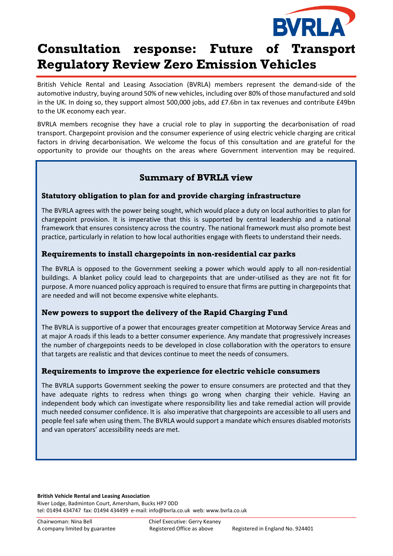

# **Consultation response: Future of Transport Regulatory Review Zero Emission Vehicles**

British Vehicle Rental and Leasing Association (BVRLA) members represent the demand-side of the automotive industry, buying around 50% of new vehicles, including over 80% of those manufactured and sold in the UK. In doing so, they support almost 500,000 jobs, add £7.6bn in tax revenues and contribute £49bn to the UK economy each year.

BVRLA members recognise they have a crucial role to play in supporting the decarbonisation of road transport. Chargepoint provision and the consumer experience of using electric vehicle charging are critical factors in driving decarbonisation. We welcome the focus of this consultation and are grateful for the opportunity to provide our thoughts on the areas where Government intervention may be required.

## **Summary of BVRLA view**

#### **Statutory obligation to plan for and provide charging infrastructure**

The BVRLA agrees with the power being sought, which would place a duty on local authorities to plan for chargepoint provision. It is imperative that this is supported by central leadership and a national framework that ensures consistency across the country. The national framework must also promote best practice, particularly in relation to how local authorities engage with fleets to understand their needs.

#### **Requirements to install chargepoints in non-residential car parks**

The BVRLA is opposed to the Government seeking a power which would apply to all non-residential buildings. A blanket policy could lead to chargepoints that are under-utilised as they are not fit for purpose. A more nuanced policy approach is required to ensure that firms are putting in chargepoints that are needed and will not become expensive white elephants.

#### **New powers to support the delivery of the Rapid Charging Fund**

The BVRLA is supportive of a power that encourages greater competition at Motorway Service Areas and at major A roads if this leads to a better consumer experience. Any mandate that progressively increases the number of chargepoints needs to be developed in close collaboration with the operators to ensure that targets are realistic and that devices continue to meet the needs of consumers.

#### **Requirements to improve the experience for electric vehicle consumers**

The BVRLA supports Government seeking the power to ensure consumers are protected and that they have adequate rights to redress when things go wrong when charging their vehicle. Having an independent body which can investigate where responsibility lies and take remedial action will provide much needed consumer confidence. It is also imperative that chargepoints are accessible to all users and people feel safe when using them. The BVRLA would support a mandate which ensures disabled motorists and van operators' accessibility needs are met.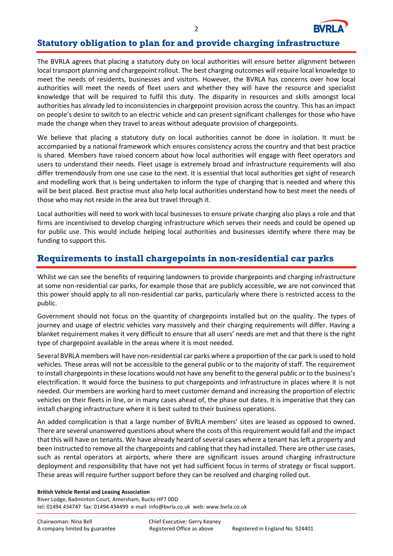

## **Statutory obligation to plan for and provide charging infrastructure**

The BVRLA agrees that placing a statutory duty on local authorities will ensure better alignment between local transport planning and chargepoint rollout. The best charging outcomes will require local knowledge to meet the needs of residents, businesses and visitors. However, the BVRLA has concerns over how local authorities will meet the needs of fleet users and whether they will have the resource and specialist knowledge that will be required to fulfil this duty. The disparity in resources and skills amongst local authorities has already led to inconsistencies in chargepoint provision across the country. This has an impact on people's desire to switch to an electric vehicle and can present significant challenges for those who have made the change when they travel to areas without adequate provision of chargepoints.

We believe that placing a statutory duty on local authorities cannot be done in isolation. It must be accompanied by a national framework which ensures consistency across the country and that best practice is shared. Members have raised concern about how local authorities will engage with fleet operators and users to understand their needs. Fleet usage is extremely broad and infrastructure requirements will also differ tremendously from one use case to the next. It is essential that local authorities get sight of research and modelling work that is being undertaken to inform the type of charging that is needed and where this will be best placed. Best practise must also help local authorities understand how to best meet the needs of those who may not reside in the area but travel through it.

Local authorities will need to work with local businesses to ensure private charging also plays a role and that firms are incentivised to develop charging infrastructure which serves their needs and could be opened up for public use. This would include helping local authorities and businesses identify where there may be funding to support this.

## **Requirements to install chargepoints in non-residential car parks**

Whilst we can see the benefits of requiring landowners to provide chargepoints and charging infrastructure at some non-residential car parks, for example those that are publicly accessible, we are not convinced that this power should apply to all non-residential car parks, particularly where there is restricted access to the public.

Government should not focus on the quantity of chargepoints installed but on the quality. The types of journey and usage of electric vehicles vary massively and their charging requirements will differ. Having a blanket requirement makes it very difficult to ensure that all users' needs are met and that there is the right type of chargepoint available in the areas where it is most needed.

Several BVRLA members will have non-residential car parks where a proportion of the car park is used to hold vehicles. These areas will not be accessible to the general public or to the majority of staff. The requirement to install chargepoints in these locations would not have any benefit to the general public or to the business's electrification. It would force the business to put chargepoints and infrastructure in places where it is not needed. Our members are working hard to meet customer demand and increasing the proportion of electric vehicles on their fleets in line, or in many cases ahead of, the phase out dates. It is imperative that they can install charging infrastructure where it is best suited to their business operations.

An added complication is that a large number of BVRLA members' sites are leased as opposed to owned. There are several unanswered questions about where the costs of this requirement would fall and the impact that this will have on tenants. We have already heard of several cases where a tenant has left a property and been instructed to remove all the chargepoints and cabling that they had installed. There are other use cases, such as rental operators at airports, where there are significant issues around charging infrastructure deployment and responsibility that have not yet had sufficient focus in terms of strategy or fiscal support. These areas will require further support before they can be resolved and charging rolled out.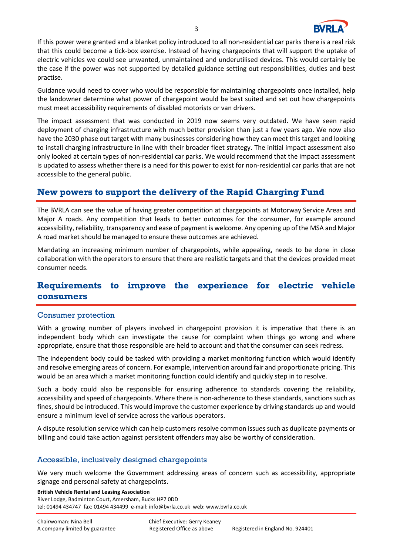

If this power were granted and a blanket policy introduced to all non-residential car parks there is a real risk that this could become a tick-box exercise. Instead of having chargepoints that will support the uptake of electric vehicles we could see unwanted, unmaintained and underutilised devices. This would certainly be the case if the power was not supported by detailed guidance setting out responsibilities, duties and best practise.

Guidance would need to cover who would be responsible for maintaining chargepoints once installed, help the landowner determine what power of chargepoint would be best suited and set out how chargepoints must meet accessibility requirements of disabled motorists or van drivers.

The impact assessment that was conducted in 2019 now seems very outdated. We have seen rapid deployment of charging infrastructure with much better provision than just a few years ago. We now also have the 2030 phase out target with many businesses considering how they can meet this target and looking to install charging infrastructure in line with their broader fleet strategy. The initial impact assessment also only looked at certain types of non-residential car parks. We would recommend that the impact assessment is updated to assess whether there is a need for this power to exist for non-residential car parks that are not accessible to the general public.

### **New powers to support the delivery of the Rapid Charging Fund**

The BVRLA can see the value of having greater competition at chargepoints at Motorway Service Areas and Major A roads. Any competition that leads to better outcomes for the consumer, for example around accessibility, reliability, transparency and ease of payment is welcome. Any opening up of the MSA and Major A road market should be managed to ensure these outcomes are achieved.

Mandating an increasing minimum number of chargepoints, while appealing, needs to be done in close collaboration with the operators to ensure that there are realistic targets and that the devices provided meet consumer needs.

## **Requirements to improve the experience for electric vehicle consumers**

#### Consumer protection

With a growing number of players involved in chargepoint provision it is imperative that there is an independent body which can investigate the cause for complaint when things go wrong and where appropriate, ensure that those responsible are held to account and that the consumer can seek redress.

The independent body could be tasked with providing a market monitoring function which would identify and resolve emerging areas of concern. For example, intervention around fair and proportionate pricing. This would be an area which a market monitoring function could identify and quickly step in to resolve.

Such a body could also be responsible for ensuring adherence to standards covering the reliability, accessibility and speed of chargepoints. Where there is non-adherence to these standards, sanctions such as fines, should be introduced. This would improve the customer experience by driving standards up and would ensure a minimum level of service across the various operators.

A dispute resolution service which can help customers resolve common issues such as duplicate payments or billing and could take action against persistent offenders may also be worthy of consideration.

#### Accessible, inclusively designed chargepoints

We very much welcome the Government addressing areas of concern such as accessibility, appropriate signage and personal safety at chargepoints.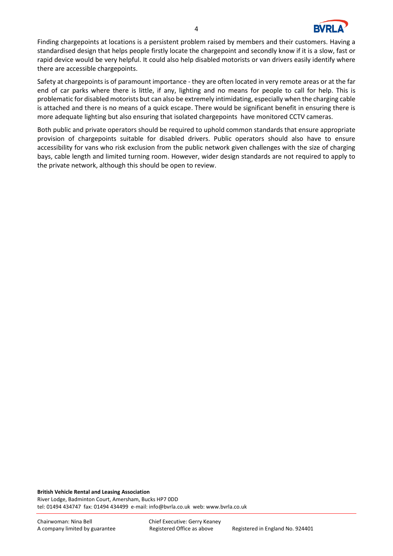

Finding chargepoints at locations is a persistent problem raised by members and their customers. Having a standardised design that helps people firstly locate the chargepoint and secondly know if it is a slow, fast or rapid device would be very helpful. It could also help disabled motorists or van drivers easily identify where there are accessible chargepoints.

Safety at chargepoints is of paramount importance - they are often located in very remote areas or at the far end of car parks where there is little, if any, lighting and no means for people to call for help. This is problematic for disabled motorists but can also be extremely intimidating, especially when the charging cable is attached and there is no means of a quick escape. There would be significant benefit in ensuring there is more adequate lighting but also ensuring that isolated chargepoints have monitored CCTV cameras.

Both public and private operators should be required to uphold common standards that ensure appropriate provision of chargepoints suitable for disabled drivers. Public operators should also have to ensure accessibility for vans who risk exclusion from the public network given challenges with the size of charging bays, cable length and limited turning room. However, wider design standards are not required to apply to the private network, although this should be open to review.